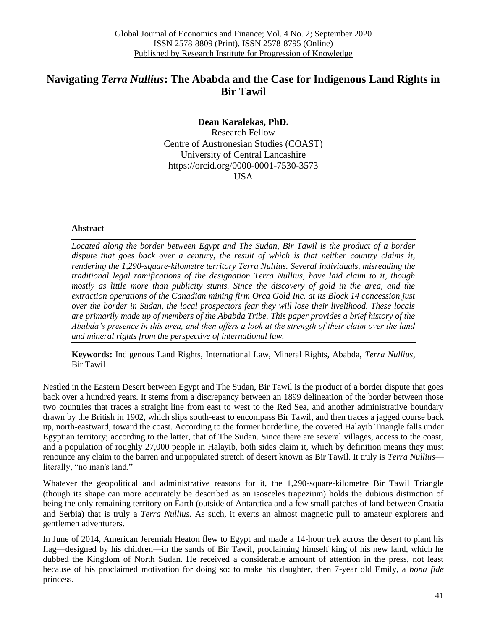## **Navigating** *Terra Nullius***: The Ababda and the Case for Indigenous Land Rights in Bir Tawil**

**Dean Karalekas, PhD.** Research Fellow Centre of Austronesian Studies (COAST) University of Central Lancashire https://orcid.org/0000-0001-7530-3573 USA

## **Abstract**

*Located along the border between Egypt and The Sudan, Bir Tawil is the product of a border dispute that goes back over a century, the result of which is that neither country claims it, rendering the 1,290-square-kilometre territory Terra Nullius. Several individuals, misreading the traditional legal ramifications of the designation Terra Nullius, have laid claim to it, though*  mostly as little more than publicity stunts. Since the discovery of gold in the area, and the *extraction operations of the Canadian mining firm Orca Gold Inc. at its Block 14 concession just over the border in Sudan, the local prospectors fear they will lose their livelihood. These locals are primarily made up of members of the Ababda Tribe. This paper provides a brief history of the Ababda's presence in this area, and then offers a look at the strength of their claim over the land and mineral rights from the perspective of international law.* 

**Keywords:** Indigenous Land Rights, International Law, Mineral Rights, Ababda, *Terra Nullius*, Bir Tawil

Nestled in the Eastern Desert between Egypt and The Sudan, Bir Tawil is the product of a border dispute that goes back over a hundred years. It stems from a discrepancy between an 1899 delineation of the border between those two countries that traces a straight line from east to west to the Red Sea, and another administrative boundary drawn by the British in 1902, which slips south-east to encompass Bir Tawil, and then traces a jagged course back up, north-eastward, toward the coast. According to the former borderline, the coveted Halayib Triangle falls under Egyptian territory; according to the latter, that of The Sudan. Since there are several villages, access to the coast, and a population of roughly 27,000 people in Halayib, both sides claim it, which by definition means they must renounce any claim to the barren and unpopulated stretch of desert known as Bir Tawil. It truly is *Terra Nullius* literally, "no man's land."

Whatever the geopolitical and administrative reasons for it, the 1,290-square-kilometre Bir Tawil Triangle (though its shape can more accurately be described as an isosceles trapezium) holds the dubious distinction of being the only remaining territory on Earth (outside of Antarctica and a few small patches of land between Croatia and Serbia) that is truly a *Terra Nullius*. As such, it exerts an almost magnetic pull to amateur explorers and gentlemen adventurers.

In June of 2014, American Jeremiah Heaton flew to Egypt and made a 14-hour trek across the desert to plant his flag—designed by his children—in the sands of Bir Tawil, proclaiming himself king of his new land, which he dubbed the Kingdom of North Sudan. He received a considerable amount of attention in the press, not least because of his proclaimed motivation for doing so: to make his daughter, then 7-year old Emily, a *bona fide* princess.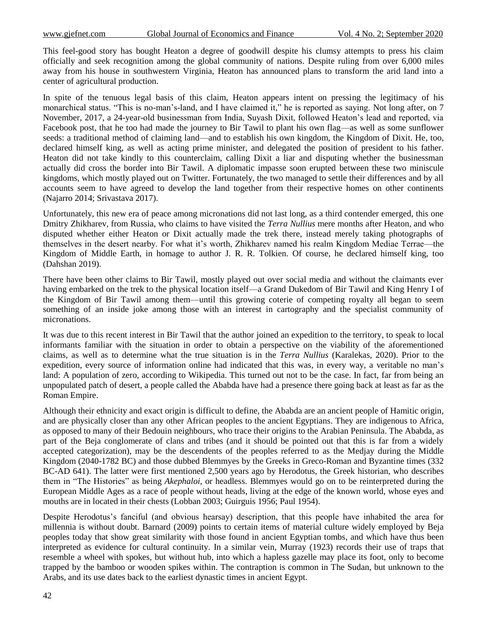This feel-good story has bought Heaton a degree of goodwill despite his clumsy attempts to press his claim officially and seek recognition among the global community of nations. Despite ruling from over 6,000 miles away from his house in southwestern Virginia, Heaton has announced plans to transform the arid land into a center of agricultural production.

In spite of the tenuous legal basis of this claim, Heaton appears intent on pressing the legitimacy of his monarchical status. "This is no-man's-land, and I have claimed it," he is reported as saying. Not long after, on 7 November, 2017, a 24-year-old businessman from India, Suyash Dixit, followed Heaton's lead and reported, via Facebook post, that he too had made the journey to Bir Tawil to plant his own flag—as well as some sunflower seeds: a traditional method of claiming land—and to establish his own kingdom, the Kingdom of Dixit. He, too, declared himself king, as well as acting prime minister, and delegated the position of president to his father. Heaton did not take kindly to this counterclaim, calling Dixit a liar and disputing whether the businessman actually did cross the border into Bir Tawil. A diplomatic impasse soon erupted between these two miniscule kingdoms, which mostly played out on Twitter. Fortunately, the two managed to settle their differences and by all accounts seem to have agreed to develop the land together from their respective homes on other continents (Najarro 2014; Srivastava 2017).

Unfortunately, this new era of peace among micronations did not last long, as a third contender emerged, this one Dmitry Zhikharev, from Russia, who claims to have visited the *Terra Nullius* mere months after Heaton, and who disputed whether either Heaton or Dixit actually made the trek there, instead merely taking photographs of themselves in the desert nearby. For what it's worth, Zhikharev named his realm Kingdom Mediae Terrae—the Kingdom of Middle Earth, in homage to author J. R. R. Tolkien. Of course, he declared himself king, too (Dahshan 2019).

There have been other claims to Bir Tawil, mostly played out over social media and without the claimants ever having embarked on the trek to the physical location itself—a Grand Dukedom of Bir Tawil and King Henry I of the Kingdom of Bir Tawil among them—until this growing coterie of competing royalty all began to seem something of an inside joke among those with an interest in cartography and the specialist community of micronations.

It was due to this recent interest in Bir Tawil that the author joined an expedition to the territory, to speak to local informants familiar with the situation in order to obtain a perspective on the viability of the aforementioned claims, as well as to determine what the true situation is in the *Terra Nullius* (Karalekas, 2020). Prior to the expedition, every source of information online had indicated that this was, in every way, a veritable no man's land: A population of zero, according to Wikipedia. This turned out not to be the case. In fact, far from being an unpopulated patch of desert, a people called the Ababda have had a presence there going back at least as far as the Roman Empire.

Although their ethnicity and exact origin is difficult to define, the Ababda are an ancient people of Hamitic origin, and are physically closer than any other African peoples to the ancient Egyptians. They are indigenous to Africa, as opposed to many of their Bedouin neighbours, who trace their origins to the Arabian Peninsula. The Ababda, as part of the Beja conglomerate of clans and tribes (and it should be pointed out that this is far from a widely accepted categorization), may be the descendents of the peoples referred to as the Medjay during the Middle Kingdom (2040-1782 BC) and those dubbed Blemmyes by the Greeks in Greco-Roman and Byzantine times (332 BC-AD 641). The latter were first mentioned 2,500 years ago by Herodotus, the Greek historian, who describes them in "The Histories" as being *Akephaloi*, or headless. Blemmyes would go on to be reinterpreted during the European Middle Ages as a race of people without heads, living at the edge of the known world, whose eyes and mouths are in located in their chests (Lobban 2003; Guirguis 1956; Paul 1954).

Despite Herodotus's fanciful (and obvious hearsay) description, that this people have inhabited the area for millennia is without doubt. Barnard (2009) points to certain items of material culture widely employed by Beja peoples today that show great similarity with those found in ancient Egyptian tombs, and which have thus been interpreted as evidence for cultural continuity. In a similar vein, Murray (1923) records their use of traps that resemble a wheel with spokes, but without hub, into which a hapless gazelle may place its foot, only to become trapped by the bamboo or wooden spikes within. The contraption is common in The Sudan, but unknown to the Arabs, and its use dates back to the earliest dynastic times in ancient Egypt.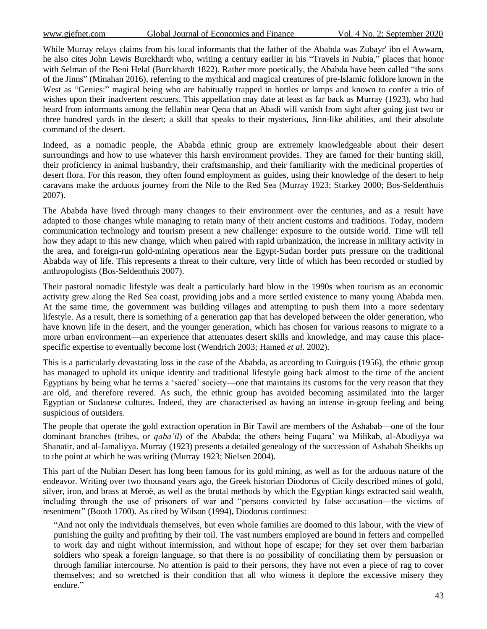While Murray relays claims from his local informants that the father of the Ababda was Zubayr' ibn el Awwam, he also cites John Lewis Burckhardt who, writing a century earlier in his "Travels in Nubia," places that honor with Selman of the Beni Helal (Burckhardt 1822). Rather more poetically, the Ababda have been called "the sons of the Jinns‖ (Minahan 2016), referring to the mythical and magical creatures of pre-Islamic folklore known in the West as "Genies:" magical being who are habitually trapped in bottles or lamps and known to confer a trio of wishes upon their inadvertent rescuers. This appellation may date at least as far back as Murray (1923), who had heard from informants among the fellahin near Qena that an Abadi will vanish from sight after going just two or three hundred yards in the desert; a skill that speaks to their mysterious, Jinn-like abilities, and their absolute command of the desert.

Indeed, as a nomadic people, the Ababda ethnic group are extremely knowledgeable about their desert surroundings and how to use whatever this harsh environment provides. They are famed for their hunting skill, their proficiency in animal husbandry, their craftsmanship, and their familiarity with the medicinal properties of desert flora. For this reason, they often found employment as guides, using their knowledge of the desert to help caravans make the arduous journey from the Nile to the Red Sea (Murray 1923; Starkey 2000; Bos-Seldenthuis 2007).

The Ababda have lived through many changes to their environment over the centuries, and as a result have adapted to those changes while managing to retain many of their ancient customs and traditions. Today, modern communication technology and tourism present a new challenge: exposure to the outside world. Time will tell how they adapt to this new change, which when paired with rapid urbanization, the increase in military activity in the area, and foreign-run gold-mining operations near the Egypt-Sudan border puts pressure on the traditional Ababda way of life. This represents a threat to their culture, very little of which has been recorded or studied by anthropologists (Bos-Seldenthuis 2007).

Their pastoral nomadic lifestyle was dealt a particularly hard blow in the 1990s when tourism as an economic activity grew along the Red Sea coast, providing jobs and a more settled existence to many young Ababda men. At the same time, the government was building villages and attempting to push them into a more sedentary lifestyle. As a result, there is something of a generation gap that has developed between the older generation, who have known life in the desert, and the younger generation, which has chosen for various reasons to migrate to a more urban environment—an experience that attenuates desert skills and knowledge, and may cause this placespecific expertise to eventually become lost (Wendrich 2003; Hamed *et al*. 2002).

This is a particularly devastating loss in the case of the Ababda, as according to Guirguis (1956), the ethnic group has managed to uphold its unique identity and traditional lifestyle going back almost to the time of the ancient Egyptians by being what he terms a 'sacred' society—one that maintains its customs for the very reason that they are old, and therefore revered. As such, the ethnic group has avoided becoming assimilated into the larger Egyptian or Sudanese cultures. Indeed, they are characterised as having an intense in-group feeling and being suspicious of outsiders.

The people that operate the gold extraction operation in Bir Tawil are members of the Ashabab—one of the four dominant branches (tribes, or *qaba'il*) of the Ababda; the others being Fuqara' wa Milikab, al-Abudiyya wa Shanatir, and al-Jamaliyya. Murray (1923) presents a detailed genealogy of the succession of Ashabab Sheikhs up to the point at which he was writing (Murray 1923; Nielsen 2004).

This part of the Nubian Desert has long been famous for its gold mining, as well as for the arduous nature of the endeavor. Writing over two thousand years ago, the Greek historian Diodorus of Cicily described mines of gold, silver, iron, and brass at Meroë, as well as the brutal methods by which the Egyptian kings extracted said wealth, including through the use of prisoners of war and "persons convicted by false accusation—the victims of resentment" (Booth 1700). As cited by Wilson (1994), Diodorus continues:

―And not only the individuals themselves, but even whole families are doomed to this labour, with the view of punishing the guilty and profiting by their toil. The vast numbers employed are bound in fetters and compelled to work day and night without intermission, and without hope of escape; for they set over them barbarian soldiers who speak a foreign language, so that there is no possibility of conciliating them by persuasion or through familiar intercourse. No attention is paid to their persons, they have not even a piece of rag to cover themselves; and so wretched is their condition that all who witness it deplore the excessive misery they endure."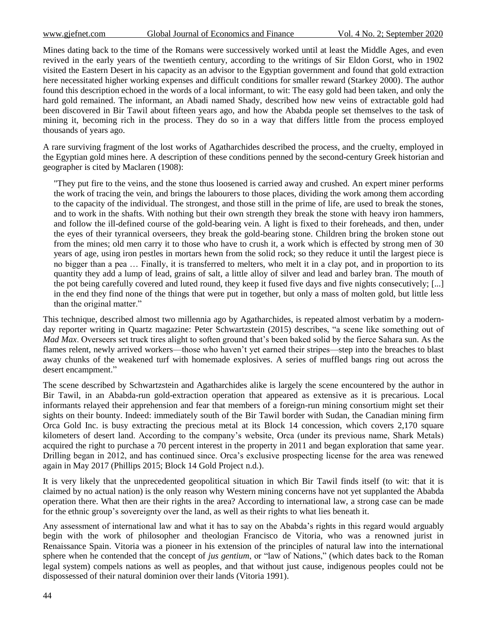Mines dating back to the time of the Romans were successively worked until at least the Middle Ages, and even revived in the early years of the twentieth century, according to the writings of Sir Eldon Gorst, who in 1902 visited the Eastern Desert in his capacity as an advisor to the Egyptian government and found that gold extraction here necessitated higher working expenses and difficult conditions for smaller reward (Starkey 2000). The author found this description echoed in the words of a local informant, to wit: The easy gold had been taken, and only the hard gold remained. The informant, an Abadi named Shady, described how new veins of extractable gold had been discovered in Bir Tawil about fifteen years ago, and how the Ababda people set themselves to the task of mining it, becoming rich in the process. They do so in a way that differs little from the process employed thousands of years ago.

A rare surviving fragment of the lost works of Agatharchides described the process, and the cruelty, employed in the Egyptian gold mines here. A description of these conditions penned by the second-century Greek historian and geographer is cited by Maclaren (1908):

"They put fire to the veins, and the stone thus loosened is carried away and crushed. An expert miner performs the work of tracing the vein, and brings the labourers to those places, dividing the work among them according to the capacity of the individual. The strongest, and those still in the prime of life, are used to break the stones, and to work in the shafts. With nothing but their own strength they break the stone with heavy iron hammers, and follow the ill-defined course of the gold-bearing vein. A light is fixed to their foreheads, and then, under the eyes of their tyrannical overseers, they break the gold-bearing stone. Children bring the broken stone out from the mines; old men carry it to those who have to crush it, a work which is effected by strong men of 30 years of age, using iron pestles in mortars hewn from the solid rock; so they reduce it until the largest piece is no bigger than a pea … Finally, it is transferred to melters, who melt it in a clay pot, and in proportion to its quantity they add a lump of lead, grains of salt, a little alloy of silver and lead and barley bran. The mouth of the pot being carefully covered and luted round, they keep it fused five days and five nights consecutively; [...] in the end they find none of the things that were put in together, but only a mass of molten gold, but little less than the original matter."

This technique, described almost two millennia ago by Agatharchides, is repeated almost verbatim by a modernday reporter writing in Quartz magazine: Peter Schwartzstein (2015) describes, "a scene like something out of *Mad Max*. Overseers set truck tires alight to soften ground that's been baked solid by the fierce Sahara sun. As the flames relent, newly arrived workers—those who haven't yet earned their stripes—step into the breaches to blast away chunks of the weakened turf with homemade explosives. A series of muffled bangs ring out across the desert encampment."

The scene described by Schwartzstein and Agatharchides alike is largely the scene encountered by the author in Bir Tawil, in an Ababda-run gold-extraction operation that appeared as extensive as it is precarious. Local informants relayed their apprehension and fear that members of a foreign-run mining consortium might set their sights on their bounty. Indeed: immediately south of the Bir Tawil border with Sudan, the Canadian mining firm Orca Gold Inc. is busy extracting the precious metal at its Block 14 concession, which covers 2,170 square kilometers of desert land. According to the company's website, Orca (under its previous name, Shark Metals) acquired the right to purchase a 70 percent interest in the property in 2011 and began exploration that same year. Drilling began in 2012, and has continued since. Orca's exclusive prospecting license for the area was renewed again in May 2017 (Phillips 2015; Block 14 Gold Project n.d.).

It is very likely that the unprecedented geopolitical situation in which Bir Tawil finds itself (to wit: that it is claimed by no actual nation) is the only reason why Western mining concerns have not yet supplanted the Ababda operation there. What then are their rights in the area? According to international law, a strong case can be made for the ethnic group's sovereignty over the land, as well as their rights to what lies beneath it.

Any assessment of international law and what it has to say on the Ababda's rights in this regard would arguably begin with the work of philosopher and theologian Francisco de Vitoria, who was a renowned jurist in Renaissance Spain. Vitoria was a pioneer in his extension of the principles of natural law into the international sphere when he contended that the concept of *jus gentium*, or "law of Nations," (which dates back to the Roman legal system) compels nations as well as peoples, and that without just cause, indigenous peoples could not be dispossessed of their natural dominion over their lands (Vitoria 1991).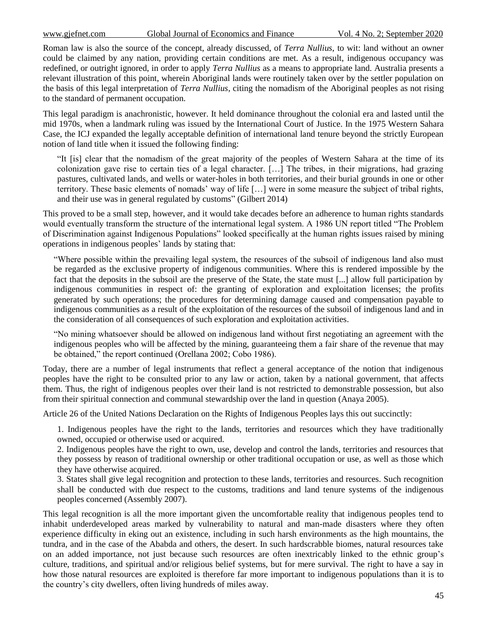Roman law is also the source of the concept, already discussed, of *Terra Nullius*, to wit: land without an owner could be claimed by any nation, providing certain conditions are met. As a result, indigenous occupancy was redefined, or outright ignored, in order to apply *Terra Nullius* as a means to appropriate land. Australia presents a relevant illustration of this point, wherein Aboriginal lands were routinely taken over by the settler population on the basis of this legal interpretation of *Terra Nullius*, citing the nomadism of the Aboriginal peoples as not rising to the standard of permanent occupation.

This legal paradigm is anachronistic, however. It held dominance throughout the colonial era and lasted until the mid 1970s, when a landmark ruling was issued by the International Court of Justice. In the 1975 Western Sahara Case, the ICJ expanded the legally acceptable definition of international land tenure beyond the strictly European notion of land title when it issued the following finding:

―It [is] clear that the nomadism of the great majority of the peoples of Western Sahara at the time of its colonization gave rise to certain ties of a legal character. […] The tribes, in their migrations, had grazing pastures, cultivated lands, and wells or water-holes in both territories, and their burial grounds in one or other territory. These basic elements of nomads' way of life […] were in some measure the subject of tribal rights, and their use was in general regulated by customs" (Gilbert 2014)

This proved to be a small step, however, and it would take decades before an adherence to human rights standards would eventually transform the structure of the international legal system. A 1986 UN report titled "The Problem" of Discrimination against Indigenous Populations" looked specifically at the human rights issues raised by mining operations in indigenous peoples' lands by stating that:

―Where possible within the prevailing legal system, the resources of the subsoil of indigenous land also must be regarded as the exclusive property of indigenous communities. Where this is rendered impossible by the fact that the deposits in the subsoil are the preserve of the State, the state must [...] allow full participation by indigenous communities in respect of: the granting of exploration and exploitation licenses; the profits generated by such operations; the procedures for determining damage caused and compensation payable to indigenous communities as a result of the exploitation of the resources of the subsoil of indigenous land and in the consideration of all consequences of such exploration and exploitation activities.

―No mining whatsoever should be allowed on indigenous land without first negotiating an agreement with the indigenous peoples who will be affected by the mining, guaranteeing them a fair share of the revenue that may be obtained," the report continued (Orellana 2002; Cobo 1986).

Today, there are a number of legal instruments that reflect a general acceptance of the notion that indigenous peoples have the right to be consulted prior to any law or action, taken by a national government, that affects them. Thus, the right of indigenous peoples over their land is not restricted to demonstrable possession, but also from their spiritual connection and communal stewardship over the land in question (Anaya 2005).

Article 26 of the United Nations Declaration on the Rights of Indigenous Peoples lays this out succinctly:

1. Indigenous peoples have the right to the lands, territories and resources which they have traditionally owned, occupied or otherwise used or acquired.

2. Indigenous peoples have the right to own, use, develop and control the lands, territories and resources that they possess by reason of traditional ownership or other traditional occupation or use, as well as those which they have otherwise acquired.

3. States shall give legal recognition and protection to these lands, territories and resources. Such recognition shall be conducted with due respect to the customs, traditions and land tenure systems of the indigenous peoples concerned (Assembly 2007).

This legal recognition is all the more important given the uncomfortable reality that indigenous peoples tend to inhabit underdeveloped areas marked by vulnerability to natural and man-made disasters where they often experience difficulty in eking out an existence, including in such harsh environments as the high mountains, the tundra, and in the case of the Ababda and others, the desert. In such hardscrabble biomes, natural resources take on an added importance, not just because such resources are often inextricably linked to the ethnic group's culture, traditions, and spiritual and/or religious belief systems, but for mere survival. The right to have a say in how those natural resources are exploited is therefore far more important to indigenous populations than it is to the country's city dwellers, often living hundreds of miles away.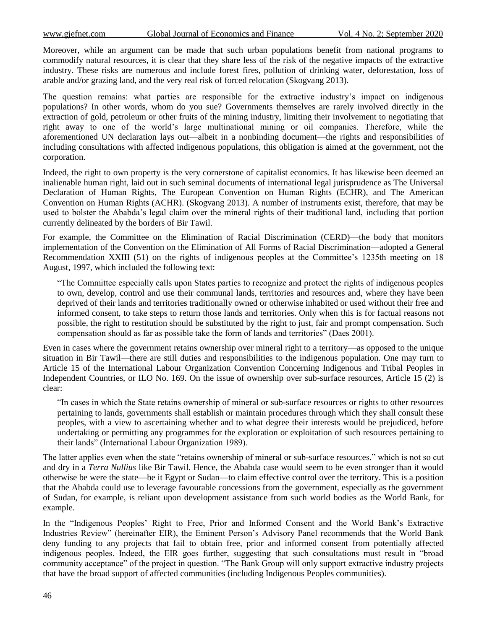Moreover, while an argument can be made that such urban populations benefit from national programs to commodify natural resources, it is clear that they share less of the risk of the negative impacts of the extractive industry. These risks are numerous and include forest fires, pollution of drinking water, deforestation, loss of arable and/or grazing land, and the very real risk of forced relocation (Skogvang 2013).

The question remains: what parties are responsible for the extractive industry's impact on indigenous populations? In other words, whom do you sue? Governments themselves are rarely involved directly in the extraction of gold, petroleum or other fruits of the mining industry, limiting their involvement to negotiating that right away to one of the world's large multinational mining or oil companies. Therefore, while the aforementioned UN declaration lays out—albeit in a nonbinding document—the rights and responsibilities of including consultations with affected indigenous populations, this obligation is aimed at the government, not the corporation.

Indeed, the right to own property is the very cornerstone of capitalist economics. It has likewise been deemed an inalienable human right, laid out in such seminal documents of international legal jurisprudence as The Universal Declaration of Human Rights, The European Convention on Human Rights (ECHR), and The American Convention on Human Rights (ACHR). (Skogvang 2013). A number of instruments exist, therefore, that may be used to bolster the Ababda's legal claim over the mineral rights of their traditional land, including that portion currently delineated by the borders of Bir Tawil.

For example, the Committee on the Elimination of Racial Discrimination (CERD)—the body that monitors implementation of the Convention on the Elimination of All Forms of Racial Discrimination—adopted a General Recommendation XXIII (51) on the rights of indigenous peoples at the Committee's 1235th meeting on 18 August, 1997, which included the following text:

―The Committee especially calls upon States parties to recognize and protect the rights of indigenous peoples to own, develop, control and use their communal lands, territories and resources and, where they have been deprived of their lands and territories traditionally owned or otherwise inhabited or used without their free and informed consent, to take steps to return those lands and territories. Only when this is for factual reasons not possible, the right to restitution should be substituted by the right to just, fair and prompt compensation. Such compensation should as far as possible take the form of lands and territories" (Daes 2001).

Even in cases where the government retains ownership over mineral right to a territory—as opposed to the unique situation in Bir Tawil—there are still duties and responsibilities to the indigenous population. One may turn to Article 15 of the International Labour Organization Convention Concerning Indigenous and Tribal Peoples in Independent Countries, or ILO No. 169. On the issue of ownership over sub-surface resources, Article 15 (2) is clear:

―In cases in which the State retains ownership of mineral or sub-surface resources or rights to other resources pertaining to lands, governments shall establish or maintain procedures through which they shall consult these peoples, with a view to ascertaining whether and to what degree their interests would be prejudiced, before undertaking or permitting any programmes for the exploration or exploitation of such resources pertaining to their lands‖ (International Labour Organization 1989).

The latter applies even when the state "retains ownership of mineral or sub-surface resources," which is not so cut and dry in a *Terra Nullius* like Bir Tawil. Hence, the Ababda case would seem to be even stronger than it would otherwise be were the state—be it Egypt or Sudan—to claim effective control over the territory. This is a position that the Ababda could use to leverage favourable concessions from the government, especially as the government of Sudan, for example, is reliant upon development assistance from such world bodies as the World Bank, for example.

In the "Indigenous Peoples' Right to Free, Prior and Informed Consent and the World Bank's Extractive Industries Review" (hereinafter EIR), the Eminent Person's Advisory Panel recommends that the World Bank deny funding to any projects that fail to obtain free, prior and informed consent from potentially affected indigenous peoples. Indeed, the EIR goes further, suggesting that such consultations must result in "broad community acceptance" of the project in question. "The Bank Group will only support extractive industry projects that have the broad support of affected communities (including Indigenous Peoples communities).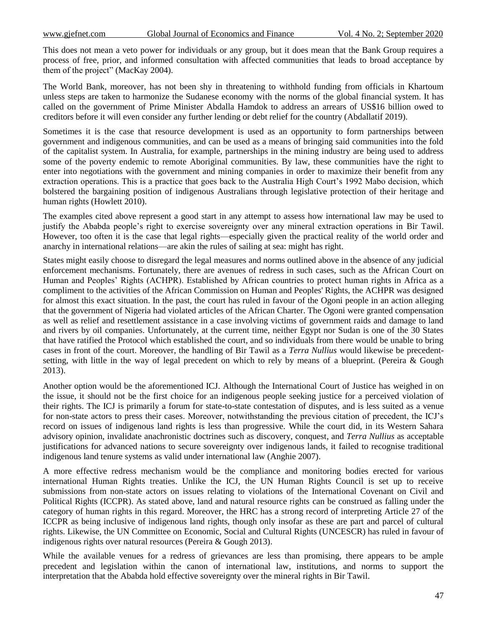This does not mean a veto power for individuals or any group, but it does mean that the Bank Group requires a process of free, prior, and informed consultation with affected communities that leads to broad acceptance by them of the project" (MacKay 2004).

The World Bank, moreover, has not been shy in threatening to withhold funding from officials in Khartoum unless steps are taken to harmonize the Sudanese economy with the norms of the global financial system. It has called on the government of Prime Minister Abdalla Hamdok to address an arrears of US\$16 billion owed to creditors before it will even consider any further lending or debt relief for the country (Abdallatif 2019).

Sometimes it is the case that resource development is used as an opportunity to form partnerships between government and indigenous communities, and can be used as a means of bringing said communities into the fold of the capitalist system. In Australia, for example, partnerships in the mining industry are being used to address some of the poverty endemic to remote Aboriginal communities. By law, these communities have the right to enter into negotiations with the government and mining companies in order to maximize their benefit from any extraction operations. This is a practice that goes back to the Australia High Court's 1992 Mabo decision, which bolstered the bargaining position of indigenous Australians through legislative protection of their heritage and human rights (Howlett 2010).

The examples cited above represent a good start in any attempt to assess how international law may be used to justify the Ababda people's right to exercise sovereignty over any mineral extraction operations in Bir Tawil. However, too often it is the case that legal rights—especially given the practical reality of the world order and anarchy in international relations—are akin the rules of sailing at sea: might has right.

States might easily choose to disregard the legal measures and norms outlined above in the absence of any judicial enforcement mechanisms. Fortunately, there are avenues of redress in such cases, such as the African Court on Human and Peoples' Rights (ACHPR). Established by African countries to protect human rights in Africa as a compliment to the activities of the African Commission on Human and Peoples' Rights, the ACHPR was designed for almost this exact situation. In the past, the court has ruled in favour of the Ogoni people in an action alleging that the government of Nigeria had violated articles of the African Charter. The Ogoni were granted compensation as well as relief and resettlement assistance in a case involving victims of government raids and damage to land and rivers by oil companies. Unfortunately, at the current time, neither Egypt nor Sudan is one of the 30 States that have ratified the Protocol which established the court, and so individuals from there would be unable to bring cases in front of the court. Moreover, the handling of Bir Tawil as a *Terra Nullius* would likewise be precedentsetting, with little in the way of legal precedent on which to rely by means of a blueprint. (Pereira & Gough 2013).

Another option would be the aforementioned ICJ. Although the International Court of Justice has weighed in on the issue, it should not be the first choice for an indigenous people seeking justice for a perceived violation of their rights. The ICJ is primarily a forum for state-to-state contestation of disputes, and is less suited as a venue for non-state actors to press their cases. Moreover, notwithstanding the previous citation of precedent, the ICJ's record on issues of indigenous land rights is less than progressive. While the court did, in its Western Sahara advisory opinion, invalidate anachronistic doctrines such as discovery, conquest, and *Terra Nullius* as acceptable justifications for advanced nations to secure sovereignty over indigenous lands, it failed to recognise traditional indigenous land tenure systems as valid under international law (Anghie 2007).

A more effective redress mechanism would be the compliance and monitoring bodies erected for various international Human Rights treaties. Unlike the ICJ, the UN Human Rights Council is set up to receive submissions from non-state actors on issues relating to violations of the International Covenant on Civil and Political Rights (ICCPR). As stated above, land and natural resource rights can be construed as falling under the category of human rights in this regard. Moreover, the HRC has a strong record of interpreting Article 27 of the ICCPR as being inclusive of indigenous land rights, though only insofar as these are part and parcel of cultural rights. Likewise, the UN Committee on Economic, Social and Cultural Rights (UNCESCR) has ruled in favour of indigenous rights over natural resources (Pereira & Gough 2013).

While the available venues for a redress of grievances are less than promising, there appears to be ample precedent and legislation within the canon of international law, institutions, and norms to support the interpretation that the Ababda hold effective sovereignty over the mineral rights in Bir Tawil.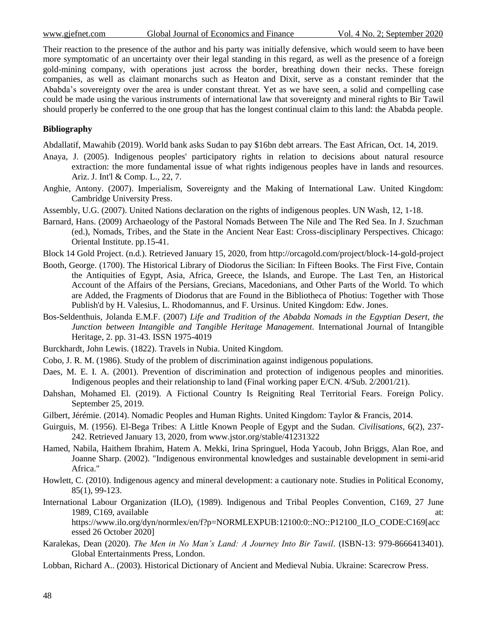Their reaction to the presence of the author and his party was initially defensive, which would seem to have been more symptomatic of an uncertainty over their legal standing in this regard, as well as the presence of a foreign gold-mining company, with operations just across the border, breathing down their necks. These foreign companies, as well as claimant monarchs such as Heaton and Dixit, serve as a constant reminder that the Ababda's sovereignty over the area is under constant threat. Yet as we have seen, a solid and compelling case could be made using the various instruments of international law that sovereignty and mineral rights to Bir Tawil should properly be conferred to the one group that has the longest continual claim to this land: the Ababda people.

## **Bibliography**

Abdallatif, Mawahib (2019). World bank asks Sudan to pay \$16bn debt arrears. The East African, Oct. 14, 2019.

- Anaya, J. (2005). Indigenous peoples' participatory rights in relation to decisions about natural resource extraction: the more fundamental issue of what rights indigenous peoples have in lands and resources. Ariz. J. Int'l & Comp. L., 22, 7.
- Anghie, Antony. (2007). Imperialism, Sovereignty and the Making of International Law. United Kingdom: Cambridge University Press.
- Assembly, U.G. (2007). United Nations declaration on the rights of indigenous peoples. UN Wash, 12, 1-18.
- Barnard, Hans. (2009) Archaeology of the Pastoral Nomads Between The Nile and The Red Sea. In J. Szuchman (ed.), Nomads, Tribes, and the State in the Ancient Near East: Cross-disciplinary Perspectives. Chicago: Oriental Institute. pp.15-41.
- Block 14 Gold Project. (n.d.). Retrieved January 15, 2020, from http://orcagold.com/project/block-14-gold-project
- Booth, George. (1700). The Historical Library of Diodorus the Sicilian: In Fifteen Books. The First Five, Contain the Antiquities of Egypt, Asia, Africa, Greece, the Islands, and Europe. The Last Ten, an Historical Account of the Affairs of the Persians, Grecians, Macedonians, and Other Parts of the World. To which are Added, the Fragments of Diodorus that are Found in the Bibliotheca of Photius: Together with Those Publish'd by H. Valesius, L. Rhodomannus, and F. Ursinus. United Kingdom: Edw. Jones.
- Bos-Seldenthuis, Jolanda E.M.F. (2007) *Life and Tradition of the Ababda Nomads in the Egyptian Desert, the Junction between Intangible and Tangible Heritage Management.* International Journal of Intangible Heritage, 2. pp. 31-43. ISSN 1975-4019
- Burckhardt, John Lewis. (1822). Travels in Nubia. United Kingdom.
- Cobo, J. R. M. (1986). Study of the problem of discrimination against indigenous populations.
- Daes, M. E. I. A. (2001). Prevention of discrimination and protection of indigenous peoples and minorities. Indigenous peoples and their relationship to land (Final working paper E/CN. 4/Sub. 2/2001/21).
- Dahshan, Mohamed El. (2019). A Fictional Country Is Reigniting Real Territorial Fears. Foreign Policy. September 25, 2019.
- Gilbert, Jérémie. (2014). Nomadic Peoples and Human Rights. United Kingdom: Taylor & Francis, 2014.
- Guirguis, M. (1956). El-Bega Tribes: A Little Known People of Egypt and the Sudan. *Civilisations*, 6(2), 237- 242. Retrieved January 13, 2020, from www.jstor.org/stable/41231322
- Hamed, Nabila, Haithem Ibrahim, Hatem A. Mekki, Irina Springuel, Hoda Yacoub, John Briggs, Alan Roe, and Joanne Sharp. (2002). "Indigenous environmental knowledges and sustainable development in semi-arid Africa."
- Howlett, C. (2010). Indigenous agency and mineral development: a cautionary note. Studies in Political Economy, 85(1), 99-123.
- International Labour Organization (ILO), (1989). Indigenous and Tribal Peoples Convention, C169, 27 June 1989, C169, available at: https://www.ilo.org/dyn/normlex/en/f?p=NORMLEXPUB:12100:0::NO::P12100\_ILO\_CODE:C169[acc
- Karalekas, Dean (2020). *The Men in No Man's Land: A Journey Into Bir Tawil*. (ISBN-13: 979-8666413401). Global Entertainments Press, London.
- Lobban, Richard A.. (2003). Historical Dictionary of Ancient and Medieval Nubia. Ukraine: Scarecrow Press.

essed 26 October 2020]